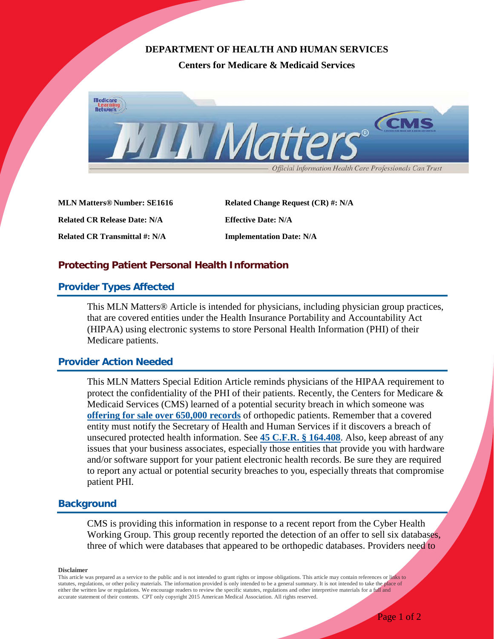## **DEPARTMENT OF HEALTH AND HUMAN SERVICES**

**Centers for Medicare & Medicaid Services**



**MLN Matters® Number: SE1616** Related Change Request (CR) #: N/A **Related CR Release Date: N/A Effective Date: N/A Related CR Transmittal #: N/A Implementation Date: N/A**

## **Protecting Patient Personal Health Information**

#### **Provider Types Affected**

This MLN Matters® Article is intended for physicians, including physician group practices, that are covered entities under the Health Insurance Portability and Accountability Act (HIPAA) using electronic systems to store Personal Health Information (PHI) of their Medicare patients.

#### **Provider Action Needed**

This MLN Matters Special Edition Article reminds physicians of the HIPAA requirement to protect the confidentiality of the PHI of their patients. Recently, the Centers for Medicare  $\&$ Medicaid Services (CMS) learned of a potential security breach in which someone was **[offering for sale over 650,000 records](http://hothardware.com/news/hacker-reportedly-infiltrates-three-us-healthcare-companies-offers-650000-patient-records-for-sale)** of orthopedic patients. Remember that a covered entity must notify the Secretary of Health and Human Services if it discovers a breach of unsecured protected health information. See **[45 C.F.R. § 164.408](https://www.gpo.gov/fdsys/granule/CFR-2011-title45-vol1/CFR-2011-title45-vol1-sec164-408)**. Also, keep abreast of any issues that your business associates, especially those entities that provide you with hardware and/or software support for your patient electronic health records. Be sure they are required to report any actual or potential security breaches to you, especially threats that compromise patient PHI.

#### **Background**

CMS is providing this information in response to a recent report from the Cyber Health Working Group. This group recently reported the detection of an offer to sell six databases, three of which were databases that appeared to be orthopedic databases. Providers need to

**Disclaimer**

This article was prepared as a service to the public and is not intended to grant rights or impose obligations. This article may contain references or links to statutes, regulations, or other policy materials. The information provided is only intended to be a general summary. It is not intended to take the place of either the written law or regulations. We encourage readers to review the specific statutes, regulations and other interpretive materials for a full and accurate statement of their contents. CPT only copyright 2015 American Medical Association. All rights reserved.